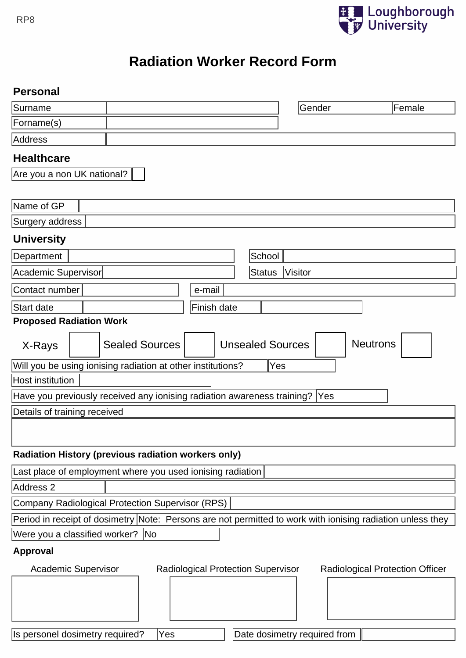

# RP8<br> **Radiation Worker Record Form**

# **Personal**

| Surname                                                                                                           |  |                       |  |                         |  | Gender | Female          |
|-------------------------------------------------------------------------------------------------------------------|--|-----------------------|--|-------------------------|--|--------|-----------------|
| Forname(s)                                                                                                        |  |                       |  |                         |  |        |                 |
| Address                                                                                                           |  |                       |  |                         |  |        |                 |
| <b>Healthcare</b>                                                                                                 |  |                       |  |                         |  |        |                 |
| Are you a non UK national?                                                                                        |  |                       |  |                         |  |        |                 |
|                                                                                                                   |  |                       |  |                         |  |        |                 |
| Name of GP                                                                                                        |  |                       |  |                         |  |        |                 |
| Surgery address                                                                                                   |  |                       |  |                         |  |        |                 |
| <b>University</b>                                                                                                 |  |                       |  |                         |  |        |                 |
| School<br>Department                                                                                              |  |                       |  |                         |  |        |                 |
| Academic Supervisor<br><b>Visitor</b><br><b>Status</b>                                                            |  |                       |  |                         |  |        |                 |
| Contact number<br>e-mail                                                                                          |  |                       |  |                         |  |        |                 |
| Finish date<br>Start date                                                                                         |  |                       |  |                         |  |        |                 |
| <b>Proposed Radiation Work</b>                                                                                    |  |                       |  |                         |  |        |                 |
| X-Rays                                                                                                            |  | <b>Sealed Sources</b> |  | <b>Unsealed Sources</b> |  |        | <b>Neutrons</b> |
| Will you be using ionising radiation at other institutions?<br>Yes                                                |  |                       |  |                         |  |        |                 |
| <b>Host institution</b>                                                                                           |  |                       |  |                         |  |        |                 |
| Have you previously received any ionising radiation awareness training?  Yes                                      |  |                       |  |                         |  |        |                 |
| Details of training received                                                                                      |  |                       |  |                         |  |        |                 |
|                                                                                                                   |  |                       |  |                         |  |        |                 |
| Radiation History (previous radiation workers only)                                                               |  |                       |  |                         |  |        |                 |
| Last place of employment where you used ionising radiation                                                        |  |                       |  |                         |  |        |                 |
| Address <sub>2</sub>                                                                                              |  |                       |  |                         |  |        |                 |
| Company Radiological Protection Supervisor (RPS)                                                                  |  |                       |  |                         |  |        |                 |
| Period in receipt of dosimetry Note: Persons are not permitted to work with ionising radiation unless they        |  |                       |  |                         |  |        |                 |
| Were you a classified worker? No                                                                                  |  |                       |  |                         |  |        |                 |
| <b>Approval</b>                                                                                                   |  |                       |  |                         |  |        |                 |
| <b>Academic Supervisor</b><br><b>Radiological Protection Supervisor</b><br><b>Radiological Protection Officer</b> |  |                       |  |                         |  |        |                 |
|                                                                                                                   |  |                       |  |                         |  |        |                 |
|                                                                                                                   |  |                       |  |                         |  |        |                 |
|                                                                                                                   |  |                       |  |                         |  |        |                 |
| Is personel dosimetry required?<br>Date dosimetry required from<br>Yes                                            |  |                       |  |                         |  |        |                 |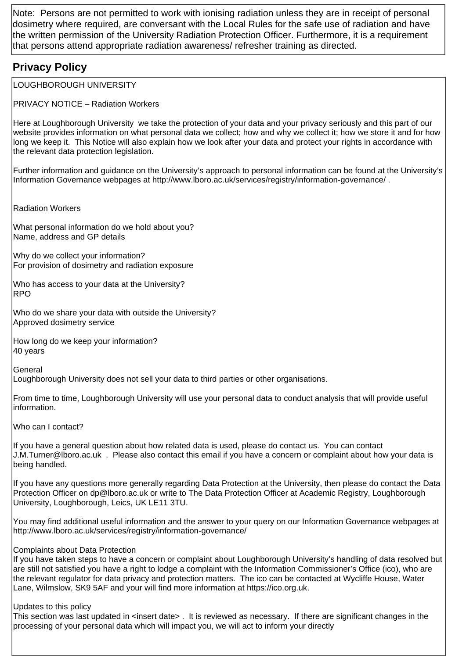Note: Persons are not permitted to work with ionising radiation unless they are in receipt of personal dosimetry where required, are conversant with the Local Rules for the safe use of radiation and have the written permission of the University Radiation Protection Officer. Furthermore, it is a requirement that persons attend appropriate radiation awareness/ refresher training as directed.

# **Privacy Policy**

LOUGHBOROUGH UNIVERSITY

**PRIVACY NOTICE - Radiation Workers** 

Here at Loughborough University we take the protection of your data and your privacy seriously and this part of our website provides information on what personal data we collect; how and why we collect it; how we store it and for how long we keep it. This Notice will also explain how we look after your data and protect your rights in accordance with the relevant data protection legislation.

Further information and quidance on the University's approach to personal information can be found at the University's Information Governance webpages at http://www.lboro.ac.uk/services/registry/information-governance/.

**Radiation Workers** 

What personal information do we hold about you? Name, address and GP details

Why do we collect your information? For provision of dosimetry and radiation exposure

Who has access to your data at the University? **RPO** 

Who do we share your data with outside the University? Approved dosimetry service

How long do we keep your information? 40 vears

General

Loughborough University does not sell your data to third parties or other organisations.

From time to time, Loughborough University will use your personal data to conduct analysis that will provide useful information.

Who can I contact?

If you have a general question about how related data is used, please do contact us. You can contact J.M.Turner@lboro.ac.uk. Please also contact this email if you have a concern or complaint about how your data is being handled.

If you have any questions more generally regarding Data Protection at the University, then please do contact the Data Protection Officer on dp@lboro.ac.uk or write to The Data Protection Officer at Academic Registry, Loughborough University, Loughborough, Leics, UK LE11 3TU.

You may find additional useful information and the answer to your query on our Information Governance webpages at http://www.lboro.ac.uk/services/registry/information-governance/

## **Complaints about Data Protection**

If you have taken steps to have a concern or complaint about Loughborough University's handling of data resolved but are still not satisfied you have a right to lodge a complaint with the Information Commissioner's Office (ico), who are the relevant regulator for data privacy and protection matters. The ico can be contacted at Wycliffe House, Water Lane, Wilmslow, SK9 5AF and your will find more information at https://ico.org.uk.

### Updates to this policy

This section was last updated in <insert date>. It is reviewed as necessary. If there are significant changes in the processing of your personal data which will impact you, we will act to inform your directly